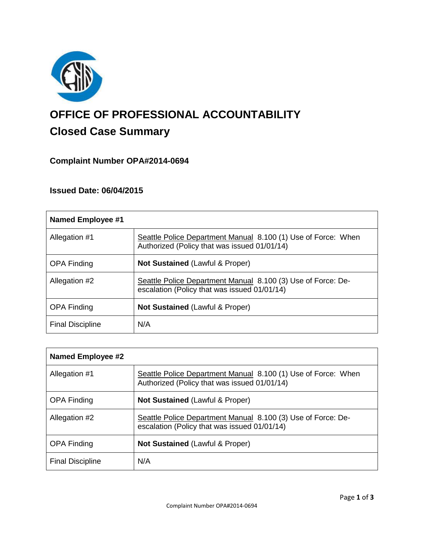

# **OFFICE OF PROFESSIONAL ACCOUNTABILITY Closed Case Summary**

# **Complaint Number OPA#2014-0694**

## **Issued Date: 06/04/2015**

| <b>Named Employee #1</b> |                                                                                                               |
|--------------------------|---------------------------------------------------------------------------------------------------------------|
| Allegation #1            | Seattle Police Department Manual 8.100 (1) Use of Force: When<br>Authorized (Policy that was issued 01/01/14) |
| <b>OPA Finding</b>       | <b>Not Sustained (Lawful &amp; Proper)</b>                                                                    |
| Allegation #2            | Seattle Police Department Manual 8.100 (3) Use of Force: De-<br>escalation (Policy that was issued 01/01/14)  |
| <b>OPA Finding</b>       | <b>Not Sustained (Lawful &amp; Proper)</b>                                                                    |
| <b>Final Discipline</b>  | N/A                                                                                                           |

| Named Employee #2       |                                                                                                               |
|-------------------------|---------------------------------------------------------------------------------------------------------------|
| Allegation #1           | Seattle Police Department Manual 8.100 (1) Use of Force: When<br>Authorized (Policy that was issued 01/01/14) |
| <b>OPA Finding</b>      | <b>Not Sustained (Lawful &amp; Proper)</b>                                                                    |
| Allegation #2           | Seattle Police Department Manual 8.100 (3) Use of Force: De-<br>escalation (Policy that was issued 01/01/14)  |
| <b>OPA Finding</b>      | Not Sustained (Lawful & Proper)                                                                               |
| <b>Final Discipline</b> | N/A                                                                                                           |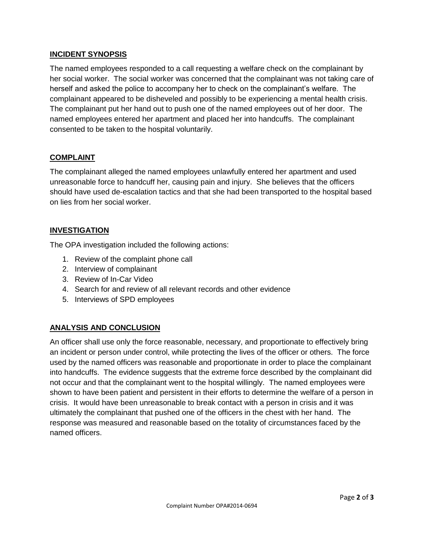## **INCIDENT SYNOPSIS**

The named employees responded to a call requesting a welfare check on the complainant by her social worker. The social worker was concerned that the complainant was not taking care of herself and asked the police to accompany her to check on the complainant's welfare. The complainant appeared to be disheveled and possibly to be experiencing a mental health crisis. The complainant put her hand out to push one of the named employees out of her door. The named employees entered her apartment and placed her into handcuffs. The complainant consented to be taken to the hospital voluntarily.

## **COMPLAINT**

The complainant alleged the named employees unlawfully entered her apartment and used unreasonable force to handcuff her, causing pain and injury. She believes that the officers should have used de-escalation tactics and that she had been transported to the hospital based on lies from her social worker.

## **INVESTIGATION**

The OPA investigation included the following actions:

- 1. Review of the complaint phone call
- 2. Interview of complainant
- 3. Review of In-Car Video
- 4. Search for and review of all relevant records and other evidence
- 5. Interviews of SPD employees

## **ANALYSIS AND CONCLUSION**

An officer shall use only the force reasonable, necessary, and proportionate to effectively bring an incident or person under control, while protecting the lives of the officer or others. The force used by the named officers was reasonable and proportionate in order to place the complainant into handcuffs. The evidence suggests that the extreme force described by the complainant did not occur and that the complainant went to the hospital willingly. The named employees were shown to have been patient and persistent in their efforts to determine the welfare of a person in crisis. It would have been unreasonable to break contact with a person in crisis and it was ultimately the complainant that pushed one of the officers in the chest with her hand. The response was measured and reasonable based on the totality of circumstances faced by the named officers.